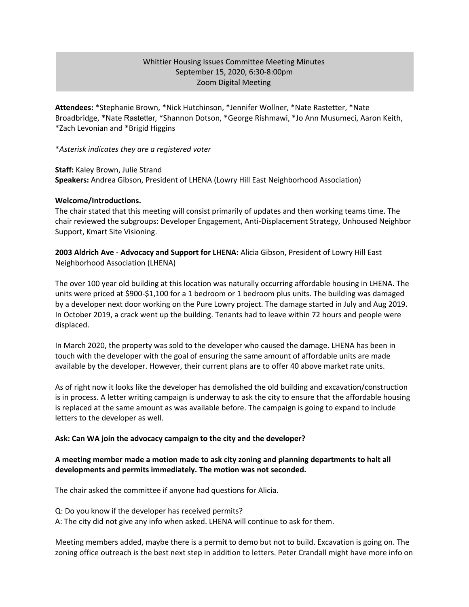# Whittier Housing Issues Committee Meeting Minutes September 15, 2020, 6:30-8:00pm Zoom Digital Meeting

**Attendees:** \*Stephanie Brown, \*Nick Hutchinson, \*Jennifer Wollner, \*Nate Rastetter, \*Nate Broadbridge, \*Nate Rastetter, \*Shannon Dotson, \*George Rishmawi, \*Jo Ann Musumeci, Aaron Keith, \*Zach Levonian and \*Brigid Higgins

#### \**Asterisk indicates they are a registered voter*

**Staff:** Kaley Brown, Julie Strand **Speakers:** Andrea Gibson, President of LHENA (Lowry Hill East Neighborhood Association)

#### **Welcome/Introductions.**

The chair stated that this meeting will consist primarily of updates and then working teams time. The chair reviewed the subgroups: Developer Engagement, Anti-Displacement Strategy, Unhoused Neighbor Support, Kmart Site Visioning.

**2003 Aldrich Ave - Advocacy and Support for LHENA:** Alicia Gibson, President of Lowry Hill East Neighborhood Association (LHENA)

The over 100 year old building at this location was naturally occurring affordable housing in LHENA. The units were priced at \$900-\$1,100 for a 1 bedroom or 1 bedroom plus units. The building was damaged by a developer next door working on the Pure Lowry project. The damage started in July and Aug 2019. In October 2019, a crack went up the building. Tenants had to leave within 72 hours and people were displaced.

In March 2020, the property was sold to the developer who caused the damage. LHENA has been in touch with the developer with the goal of ensuring the same amount of affordable units are made available by the developer. However, their current plans are to offer 40 above market rate units.

As of right now it looks like the developer has demolished the old building and excavation/construction is in process. A letter writing campaign is underway to ask the city to ensure that the affordable housing is replaced at the same amount as was available before. The campaign is going to expand to include letters to the developer as well.

## **Ask: Can WA join the advocacy campaign to the city and the developer?**

# **A meeting member made a motion made to ask city zoning and planning departments to halt all developments and permits immediately. The motion was not seconded.**

The chair asked the committee if anyone had questions for Alicia.

Q: Do you know if the developer has received permits?

A: The city did not give any info when asked. LHENA will continue to ask for them.

Meeting members added, maybe there is a permit to demo but not to build. Excavation is going on. The zoning office outreach is the best next step in addition to letters. Peter Crandall might have more info on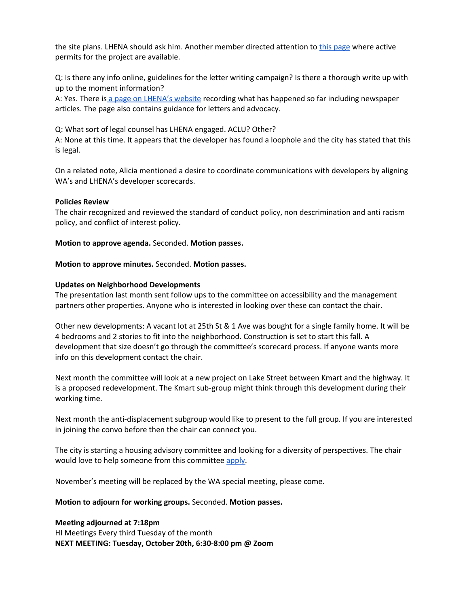the site plans. LHENA should ask him. Another member directed attention to this [page](http://apps.ci.minneapolis.mn.us/PIApp/InspectionPermitsRpt.aspx?Year=2020&Action=Show&PID=3302924110193) where active permits for the project are available.

Q: Is there any info online, guidelines for the letter writing campaign? Is there a thorough write up with up to the moment information?

A: Yes. There is a page on [LHENA's](https://www.thewedge.org/updates) website recording what has happened so far including newspaper articles. The page also contains guidance for letters and advocacy.

Q: What sort of legal counsel has LHENA engaged. ACLU? Other?

A: None at this time. It appears that the developer has found a loophole and the city has stated that this is legal.

On a related note, Alicia mentioned a desire to coordinate communications with developers by aligning WA's and LHENA's developer scorecards.

## **Policies Review**

The chair recognized and reviewed the standard of conduct policy, non descrimination and anti racism policy, and conflict of interest policy.

#### **Motion to approve agenda.** Seconded. **Motion passes.**

#### **Motion to approve minutes.** Seconded. **Motion passes.**

#### **Updates on Neighborhood Developments**

The presentation last month sent follow ups to the committee on accessibility and the management partners other properties. Anyone who is interested in looking over these can contact the chair.

Other new developments: A vacant lot at 25th St & 1 Ave was bought for a single family home. It will be 4 bedrooms and 2 stories to fit into the neighborhood. Construction is set to start this fall. A development that size doesn't go through the committee's scorecard process. If anyone wants more info on this development contact the chair.

Next month the committee will look at a new project on Lake Street between Kmart and the highway. It is a proposed redevelopment. The Kmart sub-group might think through this development during their working time.

Next month the anti-displacement subgroup would like to present to the full group. If you are interested in joining the convo before then the chair can connect you.

The city is starting a housing advisory committee and looking for a diversity of perspectives. The chair would love to help someone from this committee [apply.](http://www2.minneapolismn.gov/boards/openings/wcmsp-225471)

November's meeting will be replaced by the WA special meeting, please come.

## **Motion to adjourn for working groups.** Seconded. **Motion passes.**

# **Meeting adjourned at 7:18pm**

HI Meetings Every third Tuesday of the month **NEXT MEETING: Tuesday, October 20th, 6:30-8:00 pm @ Zoom**